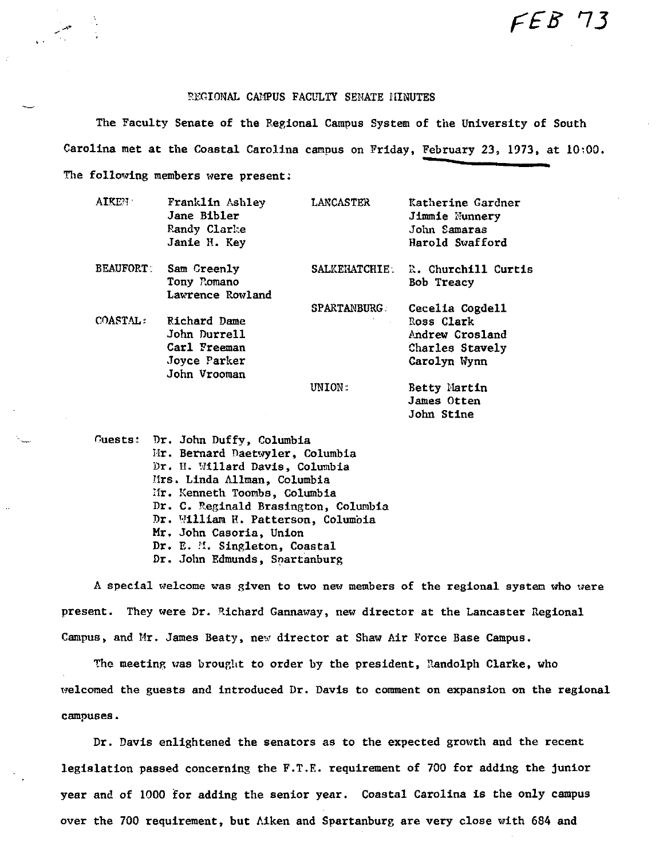$FEB$  73

# REGIONAL CAMPUS FACULTY SENATE HINUTES

The Faculty Senate of the Regional Campus System of the University of South Carolina met at the Coastal Carolina campus on Friday, February 23, 1973, at 10,00. The following members were present:

| <b>AIKEN -</b>   | Franklin Ashley<br>Jane Bibler<br>Randy Clarke<br>Janie H. Key | <b>LANCASTER</b>    | Katherine Gardner<br>Jimmie Nunnery<br>John Samaras<br>Harold Swafford |
|------------------|----------------------------------------------------------------|---------------------|------------------------------------------------------------------------|
| <b>BEAUFORT:</b> | Sam Creenly<br>Tony Romano<br>Lawrence Rowland                 | SALKEHATCHIE.       | R. Churchill Curtis<br>Bob Treacy                                      |
|                  |                                                                | <b>SPARTANBURG.</b> | Cecelia Cogdell                                                        |
| COASTAL:         | Richard Dame                                                   |                     | Ross Clark                                                             |
|                  | John Durrell                                                   |                     | Andrew Crosland                                                        |
|                  | Carl Freeman                                                   |                     | Charles Stavely                                                        |
|                  | Joyce Parker                                                   |                     | Carolyn Wynn                                                           |
|                  | John Vrooman                                                   |                     |                                                                        |
|                  |                                                                | UNION.              | Betty Martin                                                           |
|                  |                                                                |                     | James Otten                                                            |
|                  |                                                                |                     | John Stine                                                             |

Guests: Dr. John Duffy, Columbia Hr. **Bernard** naetwyler, Columbia Dr. H. Willard Davis, Columbia Mrs. Linda Allman, Columbia Mr. Kenneth Toombs, Columbia Dr. C. Reginald Brasington, Columbia Dr. William H. Patterson, Columbia **Mr.** John Casoria, Union Dr. E. M. Singleton, Coastal Dr. John Edmunds, Spartanburg

A special welcome was given to two new members of the regional system who were present. They were Dr. Richard Gannaway, new director at the Lancaster Regional Campus, and Mr. James Beaty, new director at Shaw Air Force Base Campus.

The meeting was brought to order by the president, Randolph Clarke, who  $w$ elcomed the guests and introduced  $Dr$ . Davis to comment on expansion on the regional campuses.

Dr. Davis enlightened the senators as to the expected growth and the recent legislation passed concerning the F.T.E. requirement of 700 for adding the junior year and of 1000 for adding the senior year. Coastal Carolina is the only campus over the 700 requirement, but Aiken and Spartanburg are very close with 684 and

.,,,.,,, ..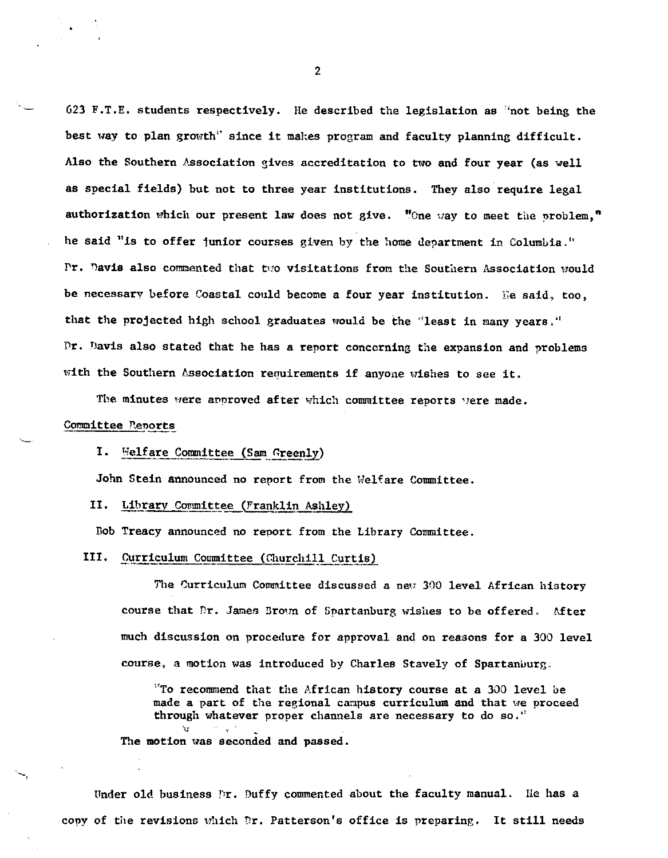623 F.T.E. students respectively. lie described the legislation as "not being the best way to plan growth" since it makes program and faculty planning difficult. Also the Southern Association gives accreditation to two and four year (as well as special fields) but not to three year institutions. They also require legal authorization which our present law does not give. "One way to meet the problem," he said "is to offer junior courses given by the home department in Columbia." Pr. Davis also commented that two visitations from the Southern Association would be necessary before Coastal could become a four year institution. Ee said, too, that the projected high school graduates would be the ''least in many years." Dr. Davis also stated that he has a report concerning the expansion and problems with the Southern Association renuirements if anyone wishes to see it.

The minutes were approved after which committee reports yere made.

## Committee Reports

### I. Welfare Committee (Sam Greenly)

John Stein announced no report from the Welfare Committee.

## II. Library Committee (Franklin Ashley)

Bob Treacy announced no report from the Library Committee.

# III. Curriculum Committee (Churchill Curtis)

The Curriculum Committee discussed a new 300 level African history course that Dr. James Brown of Spartanburg wishes to be offered. After much discussion on procedure for approval and on reasons for a 300 level course, a motion was introduced by Charles Stavely of Spartanburg.

 $"To recommend that the African history course at a 300 level be$ made a part of the regional campus curriculum and that we proceed through whatever proper channels are necessary to do so.'' for.

The motion was seconded and passed.

Under old business  $\ni$ r. Duffy commented about the faculty manual. He has a copy of the revisions which Dr. Patterson's office is preparing. It still needs

2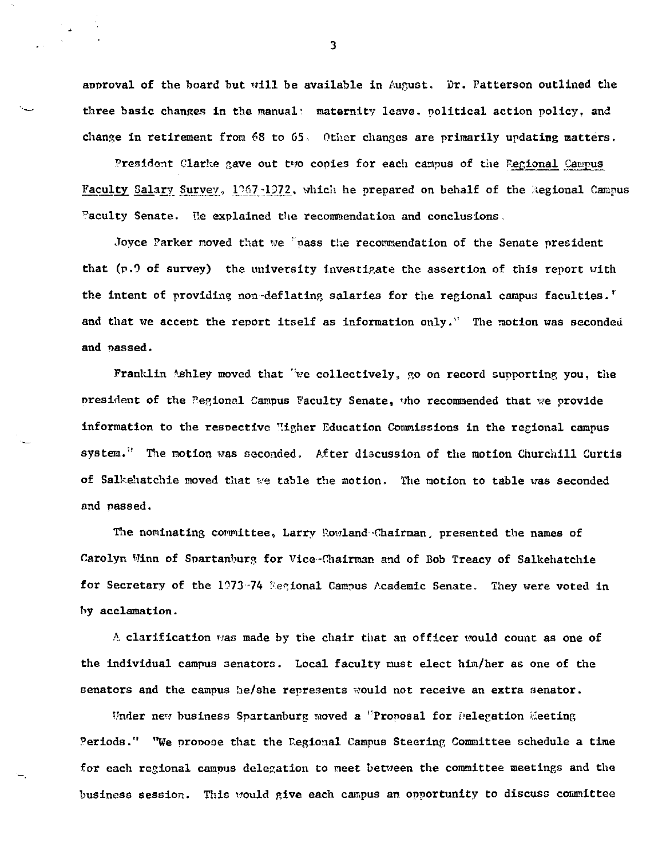approval of the board but will be available in August. Dr. Patterson outlined the three basic changes in the manual: maternity leave. political action policy, and change in retirement from 68 to 65. Other changes are primarily updating matters.

President Clarke gave out two copies for each campus of the Regional Campus Faculty Salary Survey, 1967-1972, which he prepared on behalf of the Regional Campus Faculty Senate. He explained the recommendation and conclusions.

Joyce Parker moved that we 'pass the recommendation of the Senate president that (p.9 of survey) the university investigate the assertion of this report with the intent of providing non-deflating salaries for the regional campus faculties.' and that we accept the report itself as information only." The motion was seconded and passed.

Franklin Ashley moved that "we collectively, go on record supporting you, the president of the Pegional Campus Faculty Senate, who recommended that we provide information to the resnective "igher Education Commissions in the regional campus system." The motion was seconded. After discussion of the motion Churchill Curtis of Salkehatchie moved that we table the motion. The motion to table was seconded and passed.

The nordinating corrittee, Larry Rowland Chairman, presented the names of Carolyn Winn of Spartanburg for Vice-Chairman and of Bob Treacy of Salkehatchie for Secretary of the 1973-74 Regional Campus Academic Senate. They were voted in hy acclamation.

 $\Lambda$  clarification was made by the chair that an officer would count as one of the individual campus senators. Local faculty must elect him/her as one of the senators and the campus he/she represents would not receive an extra senator.

Under new business Spartanburg moved a "Pronosal for Delegation Meeting Periods." "We propose that the Regional Campus Steering Committee schedule a time for each regional campus delegation to meet between the committee meetings and the business session. This would give each campus an opportunity to discuss committee

3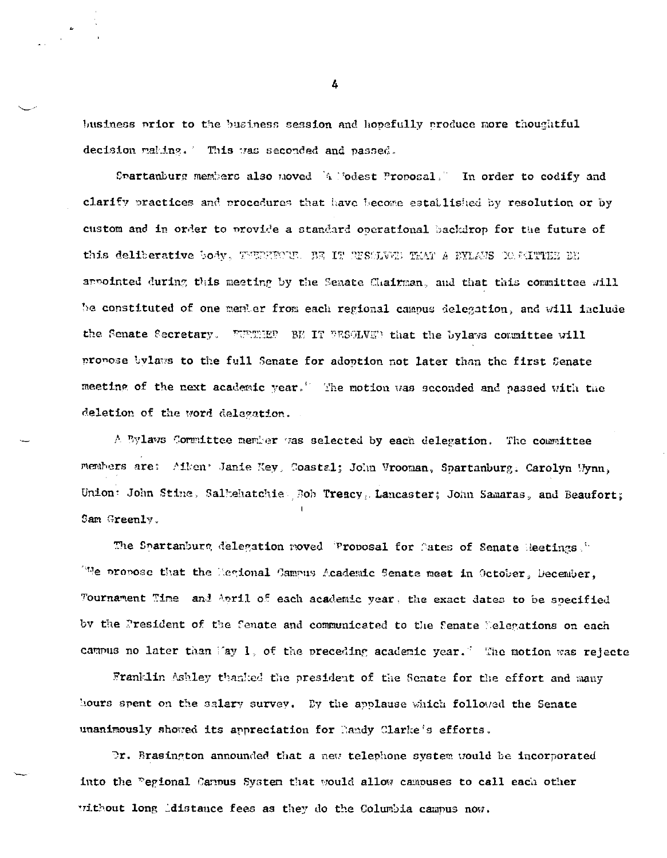business prior to the business session and hopefully produce more thoughtful decision making. This was seconded and passed.

Spartanburg members also moved '4 Modest Proposal." In order to codify and clarify practices and procedures that have become established by resolution or by custom and in order to provide a standard operational backdrop for the future of this deliberative body, TEERFOUR. BE IT RESOLVED THAT A FYLAUS OR FITTEE BE aroointed during this meeting by the Senate Chairman, and that this committee will be constituted of one member from each regional campus delegation, and will include the Senate Secretary. FUPEREER BE IT PESOLVED that the bylaws counittee will propose bylaws to the full Senate for adoption not later than the first Senate meeting of the next academic year." The motion was seconded and passed with the deletion of the word delegation.

A Bylavs Committee member was selected by each delegation. The committee members are: Aiken' Janie Key, Coastal; John Vrooman, Spartanburg, Carolyn Wynn, Union: John Stine, Salkehatchie Rob Treacy, Lancaster; John Samaras, and Beaufort; Sam Greenly.

The Spartanburg delegation moved Proposal for Dates of Senate Heetings "We propose that the Megional Campus Academic Senate meet in October, December, Tournament Time and April of each academic year, the exact dates to be specified by the President of the Senate and communicated to the Senate Belegations on each campus no later than May 1, of the preceding academic year. The motion was rejecte

Franklin Ashley thanked the president of the Senate for the effort and many hours spent on the salary survey. By the applause which followed the Senate unanimously showed its appreciation for landy Clarke's efforts.

Dr. Brasington announded that a new telephone system would be incorporated into the "egional Cannus System that would allow campuses to call each other without long idistance fees as they do the Columbia campus now.

4